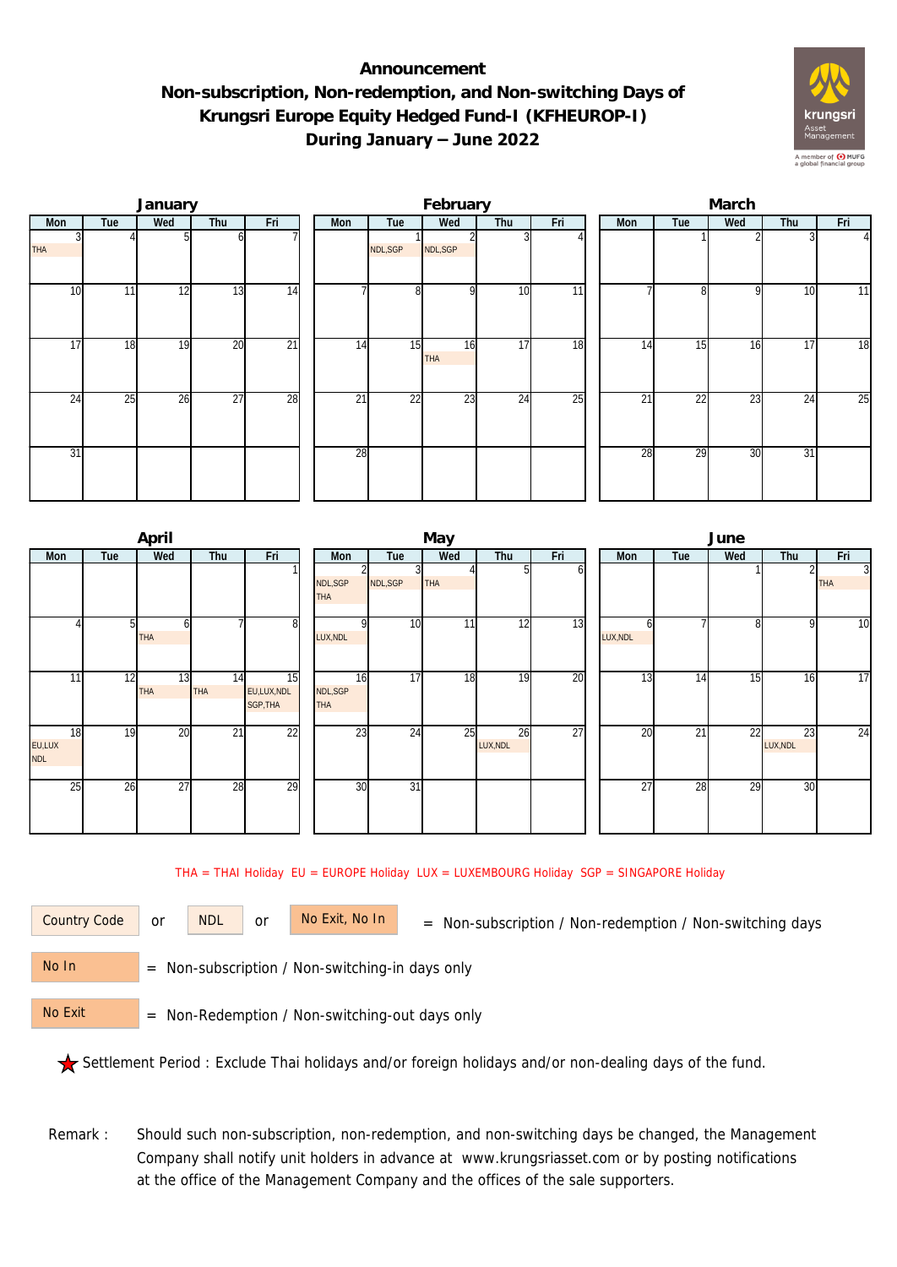## **Announcement Non-subscription, Non-redemption, and Non-switching Days of Krungsri Europe Equity Hedged Fund-I (KFHEUROP-I) During January – June 2022**



|            |     | January |                 |                 | February |                 |           |                 |                 |  |     | March           |     |     |                 |  |  |  |
|------------|-----|---------|-----------------|-----------------|----------|-----------------|-----------|-----------------|-----------------|--|-----|-----------------|-----|-----|-----------------|--|--|--|
| Mon        | Tue | Wed     | Thu             | Fri             | Mon      | Tue             | Wed       | Thu             | Fri             |  | Mon | Tue             | Wed | Thu | Fri             |  |  |  |
| <b>THA</b> |     |         | ωI              |                 |          | NDL, SGP        | NDL, SGP  |                 |                 |  |     |                 |     |     | $\Delta$        |  |  |  |
| 10         | 11  | 12      | 13              | 14              |          | 8               | οI        | 10              | $\overline{11}$ |  |     | 81              | 9   | 10  | 11              |  |  |  |
| 17         | 18  | 19      | 20              | $\overline{21}$ | 14       | 15              | 16<br>THA | 17              | 18              |  | 14  | 15              | 16  | 17  | $\overline{18}$ |  |  |  |
| 24         | 25  | 26      | $\overline{27}$ | 28              | 21       | $\overline{22}$ | 23        | $2\overline{4}$ | 25              |  | 21  | $2\overline{2}$ | 23  | 24  | 25              |  |  |  |
| 31         |     |         |                 |                 | 28       |                 |           |                 |                 |  | 28  | 29              | 30  | 31  |                 |  |  |  |

|                            |     | April           |                 |                              |                              |                 | May |                |                 | June       |     |                 |                |                              |  |  |
|----------------------------|-----|-----------------|-----------------|------------------------------|------------------------------|-----------------|-----|----------------|-----------------|------------|-----|-----------------|----------------|------------------------------|--|--|
| <b>Mon</b>                 | Tue | Wed             | Thu             | Fri                          | Mon                          | Tue             | Wed | Thu            | Fri             | <b>Mon</b> | Tue | Wed             | Thu            | Fri                          |  |  |
|                            |     |                 |                 |                              | NDL, SGP<br><b>THA</b>       | 3<br>NDL, SGP   | THA | 51             | οı              |            |     |                 |                | $\overline{3}$<br><b>THA</b> |  |  |
|                            | 51  | h<br><b>THA</b> |                 | 8                            | LUX, NDL                     | 10              | 11  | 12             | 13              | LUX, NDL   |     | 81              | $\mathsf{Q}$   | $\overline{10}$              |  |  |
| 11                         | 12  | 13<br>THA       | 14<br>THA       | 15<br>EU,LUX,NDL<br>SGP, THA | 16<br>NDL, SGP<br><b>THA</b> | $\overline{17}$ | 18  | 19             | 20              | 13         | 14  | 15 <sub>1</sub> | 16             | $\overline{17}$              |  |  |
| 18<br>EU,LUX<br><b>NDL</b> | 19  | 20              | $\overline{21}$ | $\overline{22}$              | 23                           | 24              | 25  | 26<br>LUX, NDL | $\overline{27}$ | 20         | 21  | $\overline{22}$ | 23<br>LUX, NDL | $\overline{24}$              |  |  |
| 25                         | 26  | 27              | 28              | 29                           | 30                           | $\overline{31}$ |     |                |                 | 27         | 28  | 29              | 30             |                              |  |  |

THA = THAI Holiday EU = EUROPE Holiday LUX = LUXEMBOURG Holiday SGP = SINGAPORE Holiday

or NDL or

Country Code or NDL or No Exit, No In = Non-subscription / Non-redemption / Non-switching days

 = Non-subscription / Non-switching-in days only No In

 = Non-Redemption / Non-switching-out days only No Exit

Settlement Period : Exclude Thai holidays and/or foreign holidays and/or non-dealing days of the fund.

Remark : Should such non-subscription, non-redemption, and non-switching days be changed, the Management Company shall notify unit holders in advance at www.krungsriasset.com or by posting notifications at the office of the Management Company and the offices of the sale supporters.